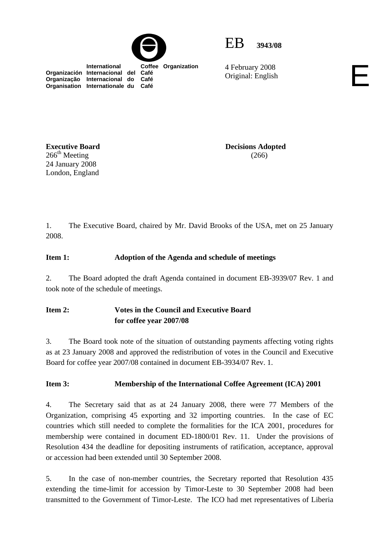



4 February 2008 4 February 2008<br>Original: English

 **International Coffee Organization Organización Internacional del Café Organização Internacional do Café Organisation Internationale du Café**

**Executive Board**   $266<sup>th</sup>$  Meeting 24 January 2008 London, England

**Decisions Adopted**  (266)

1. The Executive Board, chaired by Mr. David Brooks of the USA, met on 25 January 2008.

### **Item 1: Adoption of the Agenda and schedule of meetings**

2. The Board adopted the draft Agenda contained in document EB-3939/07 Rev. 1 and took note of the schedule of meetings.

## **Item 2: Votes in the Council and Executive Board for coffee year 2007/08**

3. The Board took note of the situation of outstanding payments affecting voting rights as at 23 January 2008 and approved the redistribution of votes in the Council and Executive Board for coffee year 2007/08 contained in document EB-3934/07 Rev. 1.

### **Item 3: Membership of the International Coffee Agreement (ICA) 2001**

4. The Secretary said that as at 24 January 2008, there were 77 Members of the Organization, comprising 45 exporting and 32 importing countries. In the case of EC countries which still needed to complete the formalities for the ICA 2001, procedures for membership were contained in document ED-1800/01 Rev. 11. Under the provisions of Resolution 434 the deadline for depositing instruments of ratification, acceptance, approval or accession had been extended until 30 September 2008.

5. In the case of non-member countries, the Secretary reported that Resolution 435 extending the time-limit for accession by Timor-Leste to 30 September 2008 had been transmitted to the Government of Timor-Leste. The ICO had met representatives of Liberia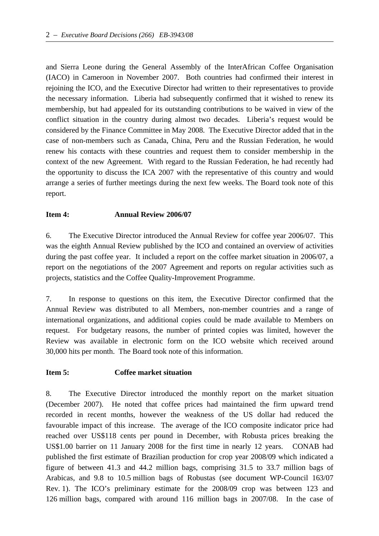and Sierra Leone during the General Assembly of the InterAfrican Coffee Organisation (IACO) in Cameroon in November 2007. Both countries had confirmed their interest in rejoining the ICO, and the Executive Director had written to their representatives to provide the necessary information. Liberia had subsequently confirmed that it wished to renew its membership, but had appealed for its outstanding contributions to be waived in view of the conflict situation in the country during almost two decades. Liberia's request would be considered by the Finance Committee in May 2008. The Executive Director added that in the case of non-members such as Canada, China, Peru and the Russian Federation, he would renew his contacts with these countries and request them to consider membership in the context of the new Agreement. With regard to the Russian Federation, he had recently had the opportunity to discuss the ICA 2007 with the representative of this country and would arrange a series of further meetings during the next few weeks. The Board took note of this report.

### **Item 4: Annual Review 2006/07**

6. The Executive Director introduced the Annual Review for coffee year 2006/07. This was the eighth Annual Review published by the ICO and contained an overview of activities during the past coffee year. It included a report on the coffee market situation in 2006/07, a report on the negotiations of the 2007 Agreement and reports on regular activities such as projects, statistics and the Coffee Quality-Improvement Programme.

7. In response to questions on this item, the Executive Director confirmed that the Annual Review was distributed to all Members, non-member countries and a range of international organizations, and additional copies could be made available to Members on request. For budgetary reasons, the number of printed copies was limited, however the Review was available in electronic form on the ICO website which received around 30,000 hits per month. The Board took note of this information.

### **Item 5: Coffee market situation**

8. The Executive Director introduced the monthly report on the market situation (December 2007). He noted that coffee prices had maintained the firm upward trend recorded in recent months, however the weakness of the US dollar had reduced the favourable impact of this increase. The average of the ICO composite indicator price had reached over US\$118 cents per pound in December, with Robusta prices breaking the US\$1.00 barrier on 11 January 2008 for the first time in nearly 12 years. CONAB had published the first estimate of Brazilian production for crop year 2008/09 which indicated a figure of between 41.3 and 44.2 million bags, comprising 31.5 to 33.7 million bags of Arabicas, and 9.8 to 10.5 million bags of Robustas (see document WP-Council 163/07 Rev. 1). The ICO's preliminary estimate for the 2008/09 crop was between 123 and 126 million bags, compared with around 116 million bags in 2007/08. In the case of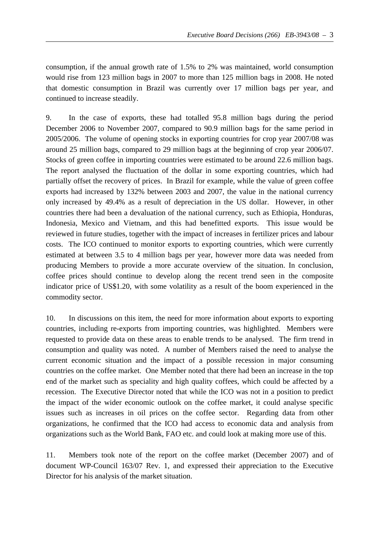consumption, if the annual growth rate of 1.5% to 2% was maintained, world consumption would rise from 123 million bags in 2007 to more than 125 million bags in 2008. He noted that domestic consumption in Brazil was currently over 17 million bags per year, and continued to increase steadily.

9. In the case of exports, these had totalled 95.8 million bags during the period December 2006 to November 2007, compared to 90.9 million bags for the same period in 2005/2006. The volume of opening stocks in exporting countries for crop year 2007/08 was around 25 million bags, compared to 29 million bags at the beginning of crop year 2006/07. Stocks of green coffee in importing countries were estimated to be around 22.6 million bags. The report analysed the fluctuation of the dollar in some exporting countries, which had partially offset the recovery of prices. In Brazil for example, while the value of green coffee exports had increased by 132% between 2003 and 2007, the value in the national currency only increased by 49.4% as a result of depreciation in the US dollar. However, in other countries there had been a devaluation of the national currency, such as Ethiopia, Honduras, Indonesia, Mexico and Vietnam, and this had benefitted exports. This issue would be reviewed in future studies, together with the impact of increases in fertilizer prices and labour costs. The ICO continued to monitor exports to exporting countries, which were currently estimated at between 3.5 to 4 million bags per year, however more data was needed from producing Members to provide a more accurate overview of the situation. In conclusion, coffee prices should continue to develop along the recent trend seen in the composite indicator price of US\$1.20, with some volatility as a result of the boom experienced in the commodity sector.

10. In discussions on this item, the need for more information about exports to exporting countries, including re-exports from importing countries, was highlighted. Members were requested to provide data on these areas to enable trends to be analysed. The firm trend in consumption and quality was noted. A number of Members raised the need to analyse the current economic situation and the impact of a possible recession in major consuming countries on the coffee market. One Member noted that there had been an increase in the top end of the market such as speciality and high quality coffees, which could be affected by a recession. The Executive Director noted that while the ICO was not in a position to predict the impact of the wider economic outlook on the coffee market, it could analyse specific issues such as increases in oil prices on the coffee sector. Regarding data from other organizations, he confirmed that the ICO had access to economic data and analysis from organizations such as the World Bank, FAO etc. and could look at making more use of this.

11. Members took note of the report on the coffee market (December 2007) and of document WP-Council 163/07 Rev. 1, and expressed their appreciation to the Executive Director for his analysis of the market situation.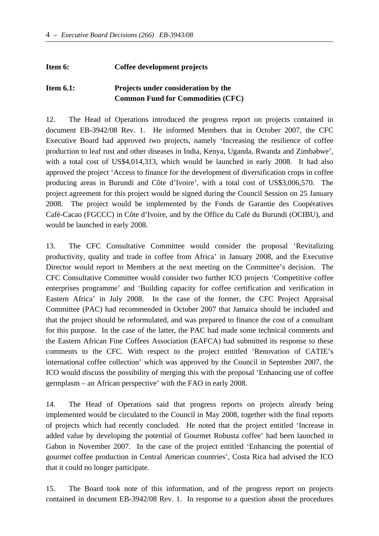#### **Item 6: Coffee development projects**

# **Item 6.1: Projects under consideration by the Common Fund for Commodities (CFC)**

12. The Head of Operations introduced the progress report on projects contained in document EB-3942/08 Rev. 1. He informed Members that in October 2007, the CFC Executive Board had approved two projects, namely 'Increasing the resilience of coffee production to leaf rust and other diseases in India, Kenya, Uganda, Rwanda and Zimbabwe', with a total cost of US\$4,014,313, which would be launched in early 2008. It had also approved the project 'Access to finance for the development of diversification crops in coffee producing areas in Burundi and Côte d'Ivoire', with a total cost of US\$3,006,570. The project agreement for this project would be signed during the Council Session on 25 January 2008. The project would be implemented by the Fonds de Garantie des Coopératives Café-Cacao (FGCCC) in Côte d'Ivoire, and by the Office du Café du Burundi (OCIBU), and would be launched in early 2008.

13. The CFC Consultative Committee would consider the proposal 'Revitalizing productivity, quality and trade in coffee from Africa' in January 2008, and the Executive Director would report to Members at the next meeting on the Committee's decision. The CFC Consultative Committee would consider two further ICO projects 'Competitive coffee enterprises programme' and 'Building capacity for coffee certification and verification in Eastern Africa' in July 2008. In the case of the former, the CFC Project Appraisal Committee (PAC) had recommended in October 2007 that Jamaica should be included and that the project should be reformulated, and was prepared to finance the cost of a consultant for this purpose. In the case of the latter, the PAC had made some technical comments and the Eastern African Fine Coffees Association (EAFCA) had submitted its response to these comments to the CFC. With respect to the project entitled 'Renovation of CATIE's international coffee collection' which was approved by the Council in September 2007, the ICO would discuss the possibility of merging this with the proposal 'Enhancing use of coffee germplasm – an African perspective' with the FAO in early 2008.

14. The Head of Operations said that progress reports on projects already being implemented would be circulated to the Council in May 2008, together with the final reports of projects which had recently concluded. He noted that the project entitled 'Increase in added value by developing the potential of Gourmet Robusta coffee' had been launched in Gabon in November 2007. In the case of the project entitled 'Enhancing the potential of gourmet coffee production in Central American countries', Costa Rica had advised the ICO that it could no longer participate.

15. The Board took note of this information, and of the progress report on projects contained in document EB-3942/08 Rev. 1. In response to a question about the procedures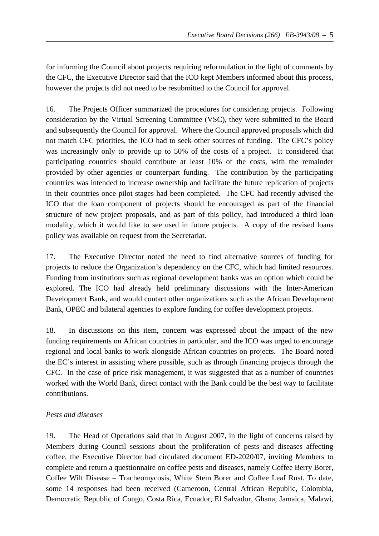for informing the Council about projects requiring reformulation in the light of comments by the CFC, the Executive Director said that the ICO kept Members informed about this process, however the projects did not need to be resubmitted to the Council for approval.

16. The Projects Officer summarized the procedures for considering projects. Following consideration by the Virtual Screening Committee (VSC), they were submitted to the Board and subsequently the Council for approval. Where the Council approved proposals which did not match CFC priorities, the ICO had to seek other sources of funding. The CFC's policy was increasingly only to provide up to 50% of the costs of a project. It considered that participating countries should contribute at least 10% of the costs, with the remainder provided by other agencies or counterpart funding. The contribution by the participating countries was intended to increase ownership and facilitate the future replication of projects in their countries once pilot stages had been completed. The CFC had recently advised the ICO that the loan component of projects should be encouraged as part of the financial structure of new project proposals, and as part of this policy, had introduced a third loan modality, which it would like to see used in future projects. A copy of the revised loans policy was available on request from the Secretariat.

17. The Executive Director noted the need to find alternative sources of funding for projects to reduce the Organization's dependency on the CFC, which had limited resources. Funding from institutions such as regional development banks was an option which could be explored. The ICO had already held preliminary discussions with the Inter-American Development Bank, and would contact other organizations such as the African Development Bank, OPEC and bilateral agencies to explore funding for coffee development projects.

18. In discussions on this item, concern was expressed about the impact of the new funding requirements on African countries in particular, and the ICO was urged to encourage regional and local banks to work alongside African countries on projects. The Board noted the EC's interest in assisting where possible, such as through financing projects through the CFC. In the case of price risk management, it was suggested that as a number of countries worked with the World Bank, direct contact with the Bank could be the best way to facilitate contributions.

# *Pests and diseases*

19. The Head of Operations said that in August 2007, in the light of concerns raised by Members during Council sessions about the proliferation of pests and diseases affecting coffee, the Executive Director had circulated document ED-2020/07, inviting Members to complete and return a questionnaire on coffee pests and diseases, namely Coffee Berry Borer, Coffee Wilt Disease – Tracheomycosis, White Stem Borer and Coffee Leaf Rust. To date, some 14 responses had been received (Cameroon, Central African Republic, Colombia, Democratic Republic of Congo, Costa Rica, Ecuador, El Salvador, Ghana, Jamaica, Malawi,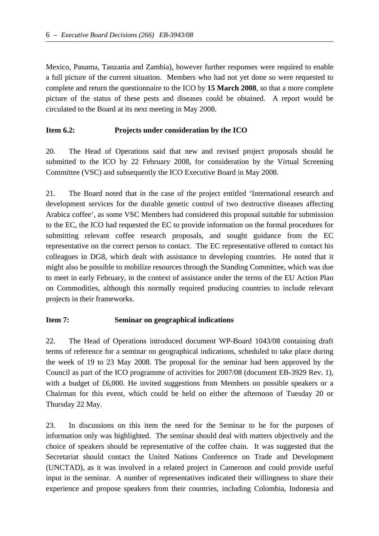Mexico, Panama, Tanzania and Zambia), however further responses were required to enable a full picture of the current situation. Members who had not yet done so were requested to complete and return the questionnaire to the ICO by **15 March 2008**, so that a more complete picture of the status of these pests and diseases could be obtained. A report would be circulated to the Board at its next meeting in May 2008.

### **Item 6.2: Projects under consideration by the ICO**

20. The Head of Operations said that new and revised project proposals should be submitted to the ICO by 22 February 2008, for consideration by the Virtual Screening Committee (VSC) and subsequently the ICO Executive Board in May 2008.

21. The Board noted that in the case of the project entitled 'International research and development services for the durable genetic control of two destructive diseases affecting Arabica coffee', as some VSC Members had considered this proposal suitable for submission to the EC, the ICO had requested the EC to provide information on the formal procedures for submitting relevant coffee research proposals, and sought guidance from the EC representative on the correct person to contact. The EC representative offered to contact his colleagues in DG8, which dealt with assistance to developing countries. He noted that it might also be possible to mobilize resources through the Standing Committee, which was due to meet in early February, in the context of assistance under the terms of the EU Action Plan on Commodities, although this normally required producing countries to include relevant projects in their frameworks.

### **Item 7: Seminar on geographical indications**

22. The Head of Operations introduced document WP-Board 1043/08 containing draft terms of reference for a seminar on geographical indications, scheduled to take place during the week of 19 to 23 May 2008. The proposal for the seminar had been approved by the Council as part of the ICO programme of activities for 2007/08 (document EB-3929 Rev. 1), with a budget of £6,000. He invited suggestions from Members on possible speakers or a Chairman for this event, which could be held on either the afternoon of Tuesday 20 or Thursday 22 May.

23. In discussions on this item the need for the Seminar to be for the purposes of information only was highlighted. The seminar should deal with matters objectively and the choice of speakers should be representative of the coffee chain. It was suggested that the Secretariat should contact the United Nations Conference on Trade and Development (UNCTAD), as it was involved in a related project in Cameroon and could provide useful input in the seminar. A number of representatives indicated their willingness to share their experience and propose speakers from their countries, including Colombia, Indonesia and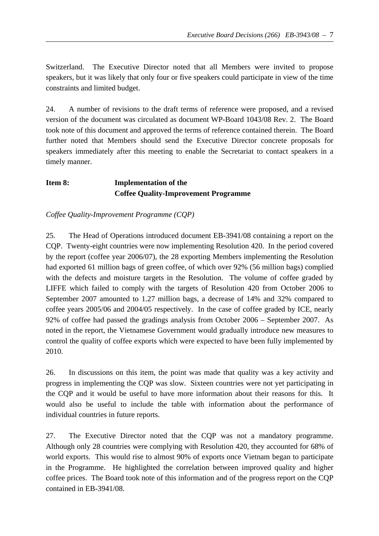Switzerland. The Executive Director noted that all Members were invited to propose speakers, but it was likely that only four or five speakers could participate in view of the time constraints and limited budget.

24. A number of revisions to the draft terms of reference were proposed, and a revised version of the document was circulated as document WP-Board 1043/08 Rev. 2. The Board took note of this document and approved the terms of reference contained therein. The Board further noted that Members should send the Executive Director concrete proposals for speakers immediately after this meeting to enable the Secretariat to contact speakers in a timely manner.

# **Item 8: Implementation of the Coffee Quality-Improvement Programme**

*Coffee Quality-Improvement Programme (CQP)* 

25. The Head of Operations introduced document EB-3941/08 containing a report on the CQP. Twenty-eight countries were now implementing Resolution 420. In the period covered by the report (coffee year 2006/07), the 28 exporting Members implementing the Resolution had exported 61 million bags of green coffee, of which over 92% (56 million bags) complied with the defects and moisture targets in the Resolution. The volume of coffee graded by LIFFE which failed to comply with the targets of Resolution 420 from October 2006 to September 2007 amounted to 1.27 million bags, a decrease of 14% and 32% compared to coffee years 2005/06 and 2004/05 respectively. In the case of coffee graded by ICE, nearly 92% of coffee had passed the gradings analysis from October 2006 – September 2007. As noted in the report, the Vietnamese Government would gradually introduce new measures to control the quality of coffee exports which were expected to have been fully implemented by 2010.

26. In discussions on this item, the point was made that quality was a key activity and progress in implementing the CQP was slow. Sixteen countries were not yet participating in the CQP and it would be useful to have more information about their reasons for this. It would also be useful to include the table with information about the performance of individual countries in future reports.

27. The Executive Director noted that the CQP was not a mandatory programme. Although only 28 countries were complying with Resolution 420, they accounted for 68% of world exports. This would rise to almost 90% of exports once Vietnam began to participate in the Programme. He highlighted the correlation between improved quality and higher coffee prices. The Board took note of this information and of the progress report on the CQP contained in EB-3941/08.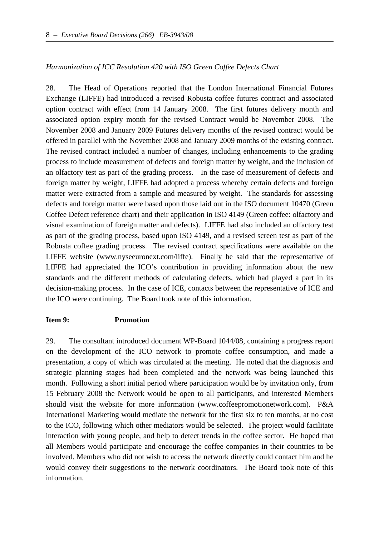#### *Harmonization of ICC Resolution 420 with ISO Green Coffee Defects Chart*

28. The Head of Operations reported that the London International Financial Futures Exchange (LIFFE) had introduced a revised Robusta coffee futures contract and associated option contract with effect from 14 January 2008. The first futures delivery month and associated option expiry month for the revised Contract would be November 2008. The November 2008 and January 2009 Futures delivery months of the revised contract would be offered in parallel with the November 2008 and January 2009 months of the existing contract. The revised contract included a number of changes, including enhancements to the grading process to include measurement of defects and foreign matter by weight, and the inclusion of an olfactory test as part of the grading process. In the case of measurement of defects and foreign matter by weight, LIFFE had adopted a process whereby certain defects and foreign matter were extracted from a sample and measured by weight. The standards for assessing defects and foreign matter were based upon those laid out in the ISO document 10470 (Green Coffee Defect reference chart) and their application in ISO 4149 (Green coffee: olfactory and visual examination of foreign matter and defects). LIFFE had also included an olfactory test as part of the grading process, based upon ISO 4149, and a revised screen test as part of the Robusta coffee grading process. The revised contract specifications were available on the LIFFE website (www.nyseeuronext.com/liffe). Finally he said that the representative of LIFFE had appreciated the ICO's contribution in providing information about the new standards and the different methods of calculating defects, which had played a part in its decision-making process. In the case of ICE, contacts between the representative of ICE and the ICO were continuing. The Board took note of this information.

#### **Item 9: Promotion**

29. The consultant introduced document WP-Board 1044/08, containing a progress report on the development of the ICO network to promote coffee consumption, and made a presentation, a copy of which was circulated at the meeting. He noted that the diagnosis and strategic planning stages had been completed and the network was being launched this month. Following a short initial period where participation would be by invitation only, from 15 February 2008 the Network would be open to all participants, and interested Members should visit the website for more information (www.coffeepromotionetwork.com). P&A International Marketing would mediate the network for the first six to ten months, at no cost to the ICO, following which other mediators would be selected. The project would facilitate interaction with young people, and help to detect trends in the coffee sector. He hoped that all Members would participate and encourage the coffee companies in their countries to be involved. Members who did not wish to access the network directly could contact him and he would convey their suggestions to the network coordinators. The Board took note of this information.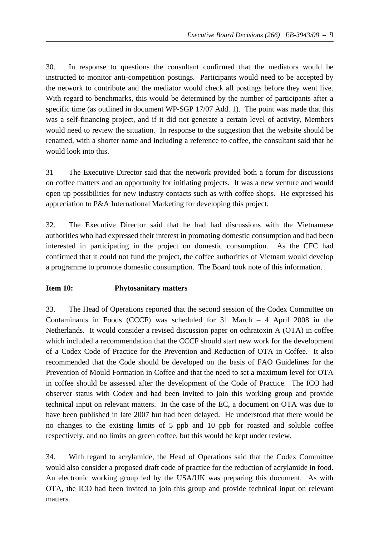30. In response to questions the consultant confirmed that the mediators would be instructed to monitor anti-competition postings. Participants would need to be accepted by the network to contribute and the mediator would check all postings before they went live. With regard to benchmarks, this would be determined by the number of participants after a specific time (as outlined in document WP-SGP 17/07 Add. 1). The point was made that this was a self-financing project, and if it did not generate a certain level of activity, Members would need to review the situation. In response to the suggestion that the website should be renamed, with a shorter name and including a reference to coffee, the consultant said that he would look into this.

31 The Executive Director said that the network provided both a forum for discussions on coffee matters and an opportunity for initiating projects. It was a new venture and would open up possibilities for new industry contacts such as with coffee shops. He expressed his appreciation to P&A International Marketing for developing this project.

32. The Executive Director said that he had had discussions with the Vietnamese authorities who had expressed their interest in promoting domestic consumption and had been interested in participating in the project on domestic consumption. As the CFC had confirmed that it could not fund the project, the coffee authorities of Vietnam would develop a programme to promote domestic consumption. The Board took note of this information.

### **Item 10: Phytosanitary matters**

33. The Head of Operations reported that the second session of the Codex Committee on Contaminants in Foods (CCCF) was scheduled for 31 March – 4 April 2008 in the Netherlands. It would consider a revised discussion paper on ochratoxin A (OTA) in coffee which included a recommendation that the CCCF should start new work for the development of a Codex Code of Practice for the Prevention and Reduction of OTA in Coffee. It also recommended that the Code should be developed on the basis of FAO Guidelines for the Prevention of Mould Formation in Coffee and that the need to set a maximum level for OTA in coffee should be assessed after the development of the Code of Practice. The ICO had observer status with Codex and had been invited to join this working group and provide technical input on relevant matters. In the case of the EC, a document on OTA was due to have been published in late 2007 but had been delayed. He understood that there would be no changes to the existing limits of 5 ppb and 10 ppb for roasted and soluble coffee respectively, and no limits on green coffee, but this would be kept under review.

34. With regard to acrylamide, the Head of Operations said that the Codex Committee would also consider a proposed draft code of practice for the reduction of acrylamide in food. An electronic working group led by the USA/UK was preparing this document. As with OTA, the ICO had been invited to join this group and provide technical input on relevant matters.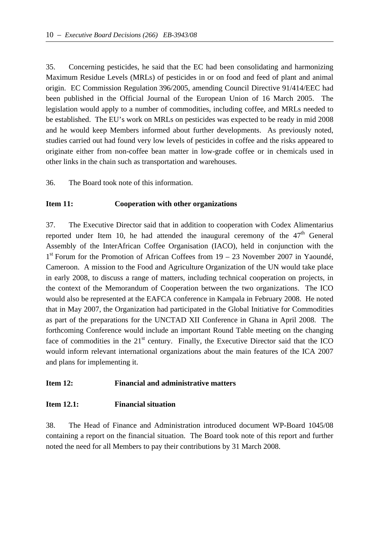35. Concerning pesticides, he said that the EC had been consolidating and harmonizing Maximum Residue Levels (MRLs) of pesticides in or on food and feed of plant and animal origin. EC Commission Regulation 396/2005, amending Council Directive 91/414/EEC had been published in the Official Journal of the European Union of 16 March 2005. The legislation would apply to a number of commodities, including coffee, and MRLs needed to be established. The EU's work on MRLs on pesticides was expected to be ready in mid 2008 and he would keep Members informed about further developments. As previously noted, studies carried out had found very low levels of pesticides in coffee and the risks appeared to originate either from non-coffee bean matter in low-grade coffee or in chemicals used in other links in the chain such as transportation and warehouses.

36. The Board took note of this information.

### **Item 11: Cooperation with other organizations**

37. The Executive Director said that in addition to cooperation with Codex Alimentarius reported under Item 10, he had attended the inaugural ceremony of the  $47<sup>th</sup>$  General Assembly of the InterAfrican Coffee Organisation (IACO), held in conjunction with the  $1<sup>st</sup>$  Forum for the Promotion of African Coffees from 19 – 23 November 2007 in Yaoundé, Cameroon. A mission to the Food and Agriculture Organization of the UN would take place in early 2008, to discuss a range of matters, including technical cooperation on projects, in the context of the Memorandum of Cooperation between the two organizations. The ICO would also be represented at the EAFCA conference in Kampala in February 2008. He noted that in May 2007, the Organization had participated in the Global Initiative for Commodities as part of the preparations for the UNCTAD XII Conference in Ghana in April 2008. The forthcoming Conference would include an important Round Table meeting on the changing face of commodities in the  $21<sup>st</sup>$  century. Finally, the Executive Director said that the ICO would inform relevant international organizations about the main features of the ICA 2007 and plans for implementing it.

### **Item 12: Financial and administrative matters**

### **Item 12.1: Financial situation**

38. The Head of Finance and Administration introduced document WP-Board 1045/08 containing a report on the financial situation. The Board took note of this report and further noted the need for all Members to pay their contributions by 31 March 2008.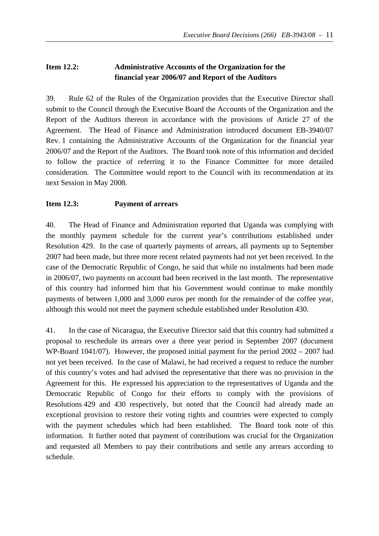# **Item 12.2: Administrative Accounts of the Organization for the financial year 2006/07 and Report of the Auditors**

39. Rule 62 of the Rules of the Organization provides that the Executive Director shall submit to the Council through the Executive Board the Accounts of the Organization and the Report of the Auditors thereon in accordance with the provisions of Article 27 of the Agreement. The Head of Finance and Administration introduced document EB-3940/07 Rev. 1 containing the Administrative Accounts of the Organization for the financial year 2006/07 and the Report of the Auditors. The Board took note of this information and decided to follow the practice of referring it to the Finance Committee for more detailed consideration. The Committee would report to the Council with its recommendation at its next Session in May 2008.

## **Item 12.3: Payment of arrears**

40. The Head of Finance and Administration reported that Uganda was complying with the monthly payment schedule for the current year's contributions established under Resolution 429. In the case of quarterly payments of arrears, all payments up to September 2007 had been made, but three more recent related payments had not yet been received. In the case of the Democratic Republic of Congo, he said that while no instalments had been made in 2006/07, two payments on account had been received in the last month. The representative of this country had informed him that his Government would continue to make monthly payments of between 1,000 and 3,000 euros per month for the remainder of the coffee year, although this would not meet the payment schedule established under Resolution 430.

41. In the case of Nicaragua, the Executive Director said that this country had submitted a proposal to reschedule its arrears over a three year period in September 2007 (document WP-Board 1041/07). However, the proposed initial payment for the period 2002 – 2007 had not yet been received. In the case of Malawi, he had received a request to reduce the number of this country's votes and had advised the representative that there was no provision in the Agreement for this. He expressed his appreciation to the representatives of Uganda and the Democratic Republic of Congo for their efforts to comply with the provisions of Resolutions 429 and 430 respectively, but noted that the Council had already made an exceptional provision to restore their voting rights and countries were expected to comply with the payment schedules which had been established. The Board took note of this information. It further noted that payment of contributions was crucial for the Organization and requested all Members to pay their contributions and settle any arrears according to schedule.